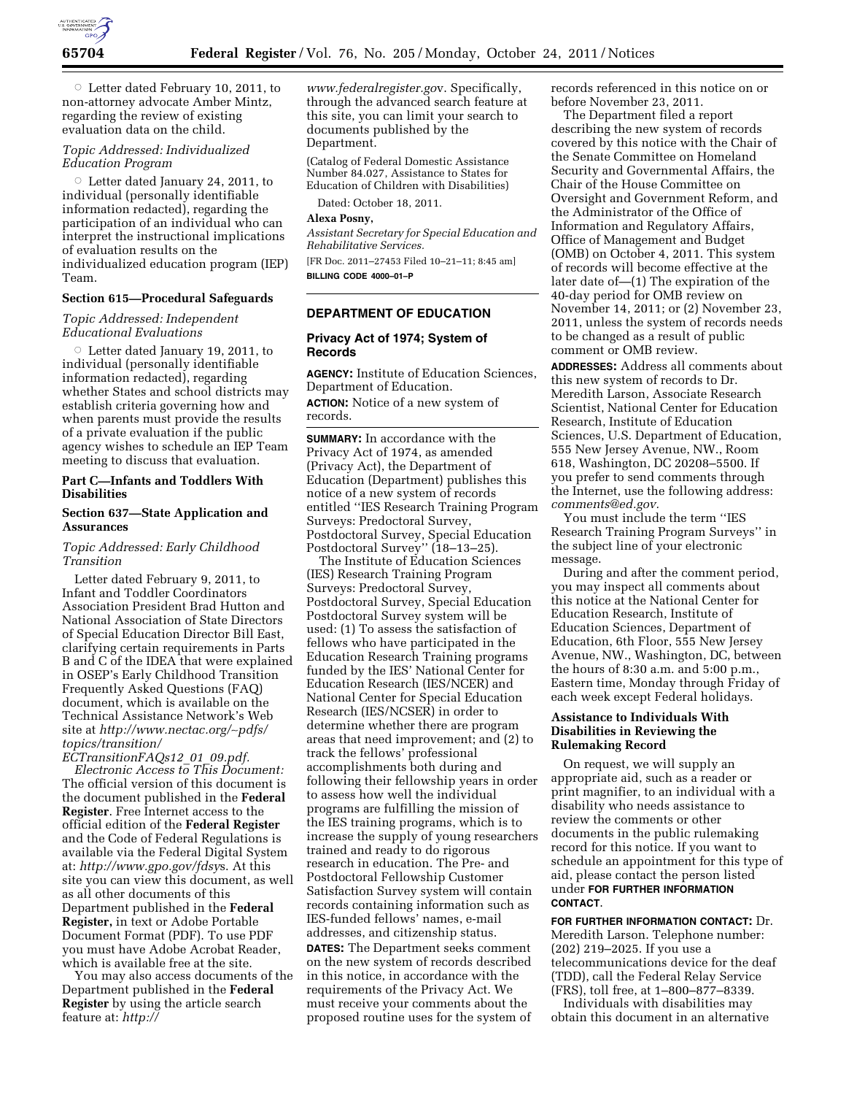

 $\circ$  Letter dated February 10, 2011, to non-attorney advocate Amber Mintz, regarding the review of existing evaluation data on the child.

# *Topic Addressed: Individualized Education Program*

 $\circ$  Letter dated January 24, 2011, to individual (personally identifiable information redacted), regarding the participation of an individual who can interpret the instructional implications of evaluation results on the individualized education program (IEP) Team.

### **Section 615—Procedural Safeguards**

*Topic Addressed: Independent Educational Evaluations* 

 $\circ$  Letter dated January 19, 2011, to individual (personally identifiable information redacted), regarding whether States and school districts may establish criteria governing how and when parents must provide the results of a private evaluation if the public agency wishes to schedule an IEP Team meeting to discuss that evaluation.

# **Part C—Infants and Toddlers With Disabilities**

### **Section 637—State Application and Assurances**

## *Topic Addressed: Early Childhood Transition*

Letter dated February 9, 2011, to Infant and Toddler Coordinators Association President Brad Hutton and National Association of State Directors of Special Education Director Bill East, clarifying certain requirements in Parts B and C of the IDEA that were explained in OSEP's Early Childhood Transition Frequently Asked Questions (FAQ) document, which is available on the Technical Assistance Network's Web site at *[http://www.nectac.org/](http://www.nectac.org/~pdfs/topics/transition/ECTransitionFAQs12_01_09.pdf)*∼*pdfs/ [topics/transition/](http://www.nectac.org/~pdfs/topics/transition/ECTransitionFAQs12_01_09.pdf)* 

*[ECTransitionFAQs12](http://www.nectac.org/~pdfs/topics/transition/ECTransitionFAQs12_01_09.pdf)*\_*01*\_*09.pdf. Electronic Access to This Document:*  The official version of this document is the document published in the **Federal Register**. Free Internet access to the official edition of the **Federal Register**  and the Code of Federal Regulations is available via the Federal Digital System at: *[http://www.gpo.gov/fdsy](http://www.gpo.gov/fdsys)*s. At this site you can view this document, as well as all other documents of this Department published in the **Federal Register,** in text or Adobe Portable Document Format (PDF). To use PDF you must have Adobe Acrobat Reader, which is available free at the site.

You may also access documents of the Department published in the **Federal Register** by using the article search feature at: *[http://](http://www.federalregister.gov)* 

*[www.federalregister.go](http://www.federalregister.gov)*v. Specifically, through the advanced search feature at this site, you can limit your search to documents published by the Department.

(Catalog of Federal Domestic Assistance Number 84.027, Assistance to States for Education of Children with Disabilities)

Dated: October 18, 2011.

# **Alexa Posny,**

*Assistant Secretary for Special Education and Rehabilitative Services.* 

[FR Doc. 2011–27453 Filed 10–21–11; 8:45 am] **BILLING CODE 4000–01–P** 

# **DEPARTMENT OF EDUCATION**

# **Privacy Act of 1974; System of Records**

**AGENCY:** Institute of Education Sciences, Department of Education.

**ACTION:** Notice of a new system of records.

**SUMMARY:** In accordance with the Privacy Act of 1974, as amended (Privacy Act), the Department of Education (Department) publishes this notice of a new system of records entitled ''IES Research Training Program Surveys: Predoctoral Survey, Postdoctoral Survey, Special Education Postdoctoral Survey'' (18–13–25).

The Institute of Education Sciences (IES) Research Training Program Surveys: Predoctoral Survey, Postdoctoral Survey, Special Education Postdoctoral Survey system will be used: (1) To assess the satisfaction of fellows who have participated in the Education Research Training programs funded by the IES' National Center for Education Research (IES/NCER) and National Center for Special Education Research (IES/NCSER) in order to determine whether there are program areas that need improvement; and (2) to track the fellows' professional accomplishments both during and following their fellowship years in order to assess how well the individual programs are fulfilling the mission of the IES training programs, which is to increase the supply of young researchers trained and ready to do rigorous research in education. The Pre- and Postdoctoral Fellowship Customer Satisfaction Survey system will contain records containing information such as IES-funded fellows' names, e-mail addresses, and citizenship status. **DATES:** The Department seeks comment on the new system of records described in this notice, in accordance with the requirements of the Privacy Act. We must receive your comments about the proposed routine uses for the system of

records referenced in this notice on or before November 23, 2011.

The Department filed a report describing the new system of records covered by this notice with the Chair of the Senate Committee on Homeland Security and Governmental Affairs, the Chair of the House Committee on Oversight and Government Reform, and the Administrator of the Office of Information and Regulatory Affairs, Office of Management and Budget (OMB) on October 4, 2011. This system of records will become effective at the later date of—(1) The expiration of the 40-day period for OMB review on November 14, 2011; or (2) November 23, 2011, unless the system of records needs to be changed as a result of public comment or OMB review.

**ADDRESSES:** Address all comments about this new system of records to Dr. Meredith Larson, Associate Research Scientist, National Center for Education Research, Institute of Education Sciences, U.S. Department of Education, 555 New Jersey Avenue, NW., Room 618, Washington, DC 20208–5500. If you prefer to send comments through the Internet, use the following address: *[comments@ed.gov.](mailto:comments@ed.gov)* 

You must include the term ''IES Research Training Program Surveys'' in the subject line of your electronic message.

During and after the comment period, you may inspect all comments about this notice at the National Center for Education Research, Institute of Education Sciences, Department of Education, 6th Floor, 555 New Jersey Avenue, NW., Washington, DC, between the hours of 8:30 a.m. and 5:00 p.m., Eastern time, Monday through Friday of each week except Federal holidays.

### **Assistance to Individuals With Disabilities in Reviewing the Rulemaking Record**

On request, we will supply an appropriate aid, such as a reader or print magnifier, to an individual with a disability who needs assistance to review the comments or other documents in the public rulemaking record for this notice. If you want to schedule an appointment for this type of aid, please contact the person listed under **FOR FURTHER INFORMATION CONTACT**.

**FOR FURTHER INFORMATION CONTACT:** Dr. Meredith Larson. Telephone number: (202) 219–2025. If you use a telecommunications device for the deaf (TDD), call the Federal Relay Service (FRS), toll free, at 1–800–877–8339.

Individuals with disabilities may obtain this document in an alternative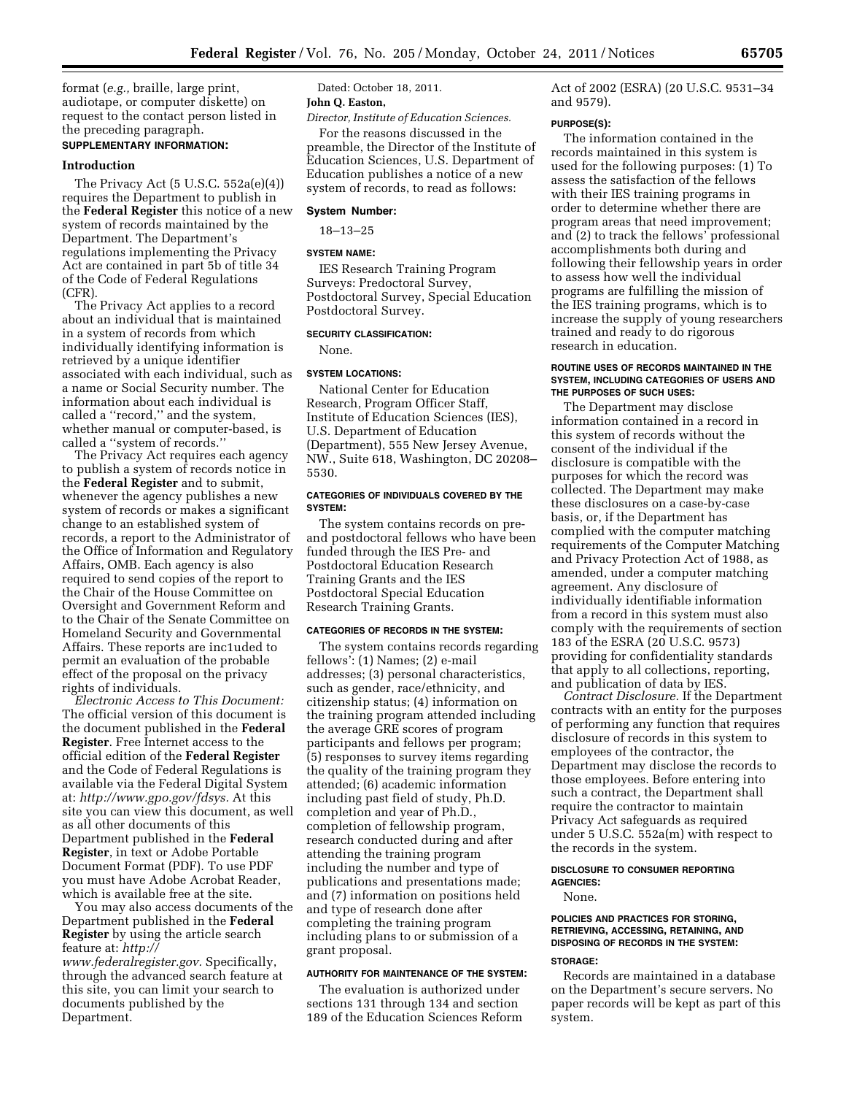format (*e.g.,* braille, large print, audiotape, or computer diskette) on request to the contact person listed in the preceding paragraph.

# **SUPPLEMENTARY INFORMATION:**

#### **Introduction**

The Privacy Act (5 U.S.C. 552a(e)(4)) requires the Department to publish in the **Federal Register** this notice of a new system of records maintained by the Department. The Department's regulations implementing the Privacy Act are contained in part 5b of title 34 of the Code of Federal Regulations (CFR).

The Privacy Act applies to a record about an individual that is maintained in a system of records from which individually identifying information is retrieved by a unique identifier associated with each individual, such as a name or Social Security number. The information about each individual is called a ''record,'' and the system, whether manual or computer-based, is called a ''system of records.''

The Privacy Act requires each agency to publish a system of records notice in the **Federal Register** and to submit, whenever the agency publishes a new system of records or makes a significant change to an established system of records, a report to the Administrator of the Office of Information and Regulatory Affairs, OMB. Each agency is also required to send copies of the report to the Chair of the House Committee on Oversight and Government Reform and to the Chair of the Senate Committee on Homeland Security and Governmental Affairs. These reports are inc1uded to permit an evaluation of the probable effect of the proposal on the privacy rights of individuals.

*Electronic Access to This Document:*  The official version of this document is the document published in the **Federal Register**. Free Internet access to the official edition of the **Federal Register**  and the Code of Federal Regulations is available via the Federal Digital System at: *[http://www.gpo.gov/fdsys.](http://www.gpo.gov/fdsys)* At this site you can view this document, as well as all other documents of this Department published in the **Federal Register**, in text or Adobe Portable Document Format (PDF). To use PDF you must have Adobe Acrobat Reader, which is available free at the site.

You may also access documents of the Department published in the **Federal Register** by using the article search feature at: *[http://](http://www.federalregister.gov)* 

*[www.federalregister.gov.](http://www.federalregister.gov)* Specifically, through the advanced search feature at this site, you can limit your search to documents published by the Department.

Dated: October 18, 2011.

# **John Q. Easton,**

*Director, Institute of Education Sciences.* 

For the reasons discussed in the preamble, the Director of the Institute of Education Sciences, U.S. Department of Education publishes a notice of a new system of records, to read as follows:

#### **System Number:**

18–13–25

#### **SYSTEM NAME:**

IES Research Training Program Surveys: Predoctoral Survey, Postdoctoral Survey, Special Education Postdoctoral Survey.

#### **SECURITY CLASSIFICATION:**

None.

#### **SYSTEM LOCATIONS:**

National Center for Education Research, Program Officer Staff, Institute of Education Sciences (IES), U.S. Department of Education (Department), 555 New Jersey Avenue, NW., Suite 618, Washington, DC 20208– 5530.

### **CATEGORIES OF INDIVIDUALS COVERED BY THE SYSTEM:**

The system contains records on preand postdoctoral fellows who have been funded through the IES Pre- and Postdoctoral Education Research Training Grants and the IES Postdoctoral Special Education Research Training Grants.

#### **CATEGORIES OF RECORDS IN THE SYSTEM:**

The system contains records regarding fellows': (1) Names; (2) e-mail addresses; (3) personal characteristics, such as gender, race/ethnicity, and citizenship status; (4) information on the training program attended including the average GRE scores of program participants and fellows per program; (5) responses to survey items regarding the quality of the training program they attended; (6) academic information including past field of study, Ph.D. completion and year of Ph.D., completion of fellowship program, research conducted during and after attending the training program including the number and type of publications and presentations made; and (7) information on positions held and type of research done after completing the training program including plans to or submission of a grant proposal.

#### **AUTHORITY FOR MAINTENANCE OF THE SYSTEM:**

The evaluation is authorized under sections 131 through 134 and section 189 of the Education Sciences Reform Act of 2002 (ESRA) (20 U.S.C. 9531–34 and 9579).

### **PURPOSE(S):**

The information contained in the records maintained in this system is used for the following purposes: (1) To assess the satisfaction of the fellows with their IES training programs in order to determine whether there are program areas that need improvement; and (2) to track the fellows' professional accomplishments both during and following their fellowship years in order to assess how well the individual programs are fulfilling the mission of the IES training programs, which is to increase the supply of young researchers trained and ready to do rigorous research in education.

#### **ROUTINE USES OF RECORDS MAINTAINED IN THE SYSTEM, INCLUDING CATEGORIES OF USERS AND THE PURPOSES OF SUCH USES:**

The Department may disclose information contained in a record in this system of records without the consent of the individual if the disclosure is compatible with the purposes for which the record was collected. The Department may make these disclosures on a case-by-case basis, or, if the Department has complied with the computer matching requirements of the Computer Matching and Privacy Protection Act of 1988, as amended, under a computer matching agreement. Any disclosure of individually identifiable information from a record in this system must also comply with the requirements of section 183 of the ESRA (20 U.S.C. 9573) providing for confidentiality standards that apply to all collections, reporting, and publication of data by IES.

*Contract Disclosure.* If the Department contracts with an entity for the purposes of performing any function that requires disclosure of records in this system to employees of the contractor, the Department may disclose the records to those employees. Before entering into such a contract, the Department shall require the contractor to maintain Privacy Act safeguards as required under 5 U.S.C. 552a(m) with respect to the records in the system.

### **DISCLOSURE TO CONSUMER REPORTING AGENCIES:**

#### None.

# **POLICIES AND PRACTICES FOR STORING, RETRIEVING, ACCESSING, RETAINING, AND DISPOSING OF RECORDS IN THE SYSTEM:**

#### **STORAGE:**

Records are maintained in a database on the Department's secure servers. No paper records will be kept as part of this system.